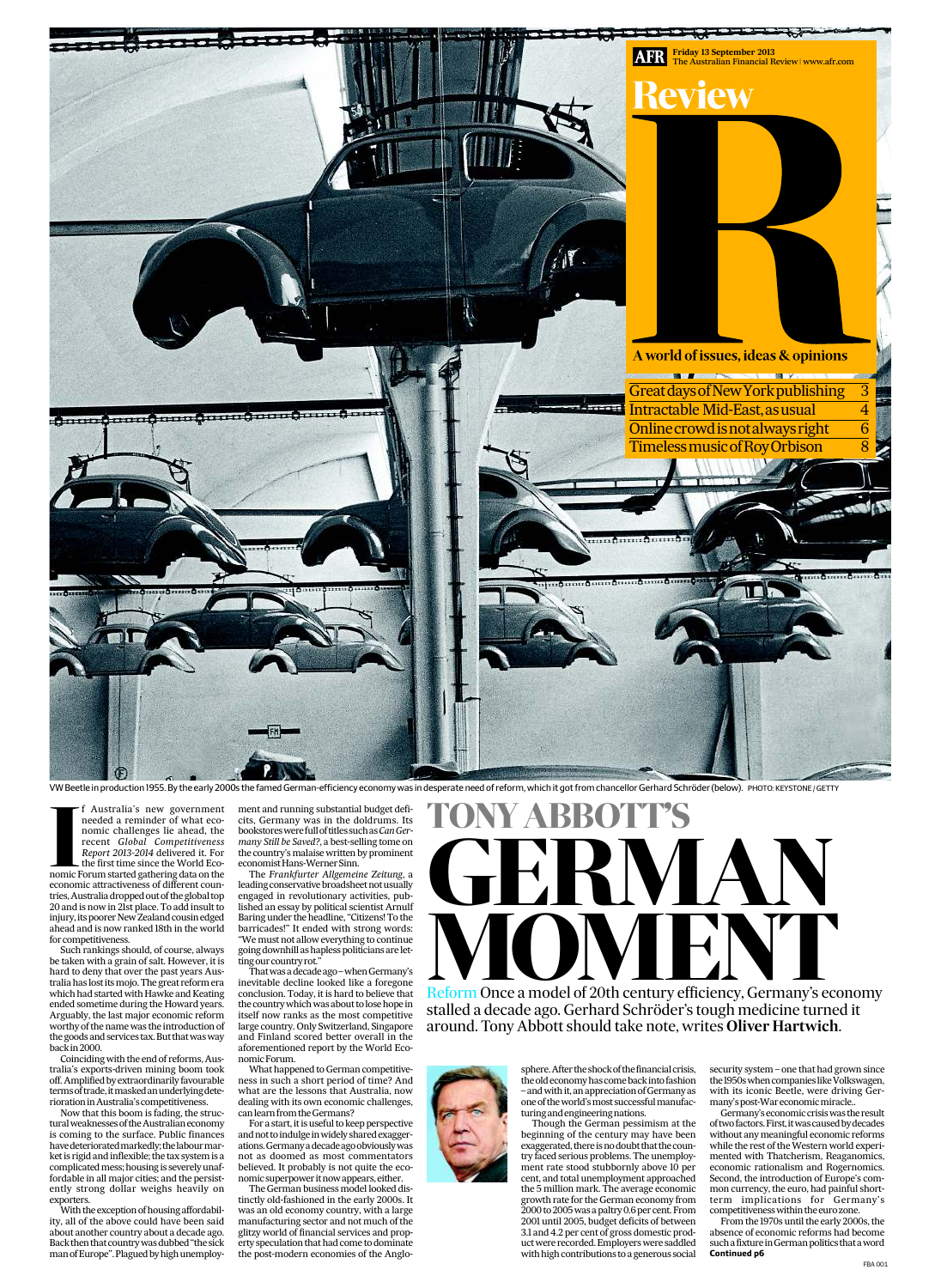

ment and running substantial budget deficits, Germany was in the doldrums. Its bookstoreswerefulloftitlessuchas*CanGermany Still be Saved?*, a best-selling tome on the country's malaise written by prominent economist Hans-Werner Sinn.

> Though the German pessimism at the beginning of the century may have been exaggerated, there isnodoubt that thecountry faced serious problems. The unemployment rate stood stubbornly above 10 per cent, and total unemployment approached the 5 million mark. The average economic growth rate for the German economy from 2000 to 2005was a paltry 0.6 percent. From 2001 until 2005, budget deficits of between 3.1 and 4.2 per cent of gross domestic productwere recorded. Employerswere saddled with high contributions to a generous social

That was a decade ago - when Germany's inevitable decline looked like a foregone conclusion. Today, it is hard to believe that the country which was about to lose hope in itself now ranks as the most competitive ountry. Only Switzerland, S and Finland scored better overall in the aforementioned report by the World EconomicForum.

The *Frankfurter Allgemeine Zeitung*, a leading conservative broadsheet not usually engaged in revolutionary activities, published an essay by political scientist Arnulf Baring under the headline, "Citizens! To the barricades!" It ended with strong words: "We must not allow everything to continue going downhill ashapless politicians are lettingourcountryrot."

Such rankings should, of course, always be taken with a grain of salt. However, it is hard to deny that over the past years Australia has lost itsmojo. The great reform era which had started with Hawke and Keating ended sometime during the Howard years. Arguably, the last major economic reform the name **v** 

the goods and services tax. But that was way back in 2000.

> What happened to German competitiveness in such a short period of time? And what are the lessons that Australia, now dealing with its own economic challenges, can learn from theGermans?

With the exception of housing affordability, all of the above could have been said about another country about a decade ago. Back then that country was dubbed "the sick man of Europe". Plagued by high unemploy-

For a start, it is useful to keep perspective and not to indulge in widely shared exaggerations.Germanyadecadeagoobviouslywas not as doomed as most commentators believed. It probably is not quite the economicsuperpower itnow appears, either. The German business model looked dissecurity system – one that had grown since the 1950s when companies like Volkswagen, with its iconic Beetle, were driving Germany's post-War economic miracle..

tinctly old-fashioned in the early 2000s. It was an old economy country, with a large manufacturing sector and not much of the glitzy world of financial services and property speculation that had come to dominate the post-modern economies of the Anglo-



sphere. After the shock of the financial crisis, the old economy has come back into fashion – and with it, an appreciation of Germany as one of the world's most successful manufacturing and engineering nations.



VW Beetle in production 1955. By the early 2000s the famed German-efficiency economy was in desperate need of reform, which it got from chancellor Gerhard Schröder (below). PHOTO: KEYSTONE / GETTY

**I**<br> **I**<br> **I**<br> **I** f Australia's new government needed a reminder of what economic challenges lie ahead, the recent *Global Competitiveness Report 2013-2014* delivered it. For the first time since the World Economic Forum started gathering data on the economic attractiveness of different countries,Australia dropped out of the global top 20 and is now in 21st place. To add insult to injury, its poorer New Zealand cousin edged ahead and is now ranked 18th in the world for competitiveness.

Coinciding with the end of reforms, Australia's exports-driven mining boom took off. Amplified by extraordinarily favourable terms of trade, it masked an underlying deterioration inAustralia'scompetitiveness.

Now that this boom is fading, the structural weaknesses of the Australian economy is coming to the surface. Public finances have deteriorated markedly; the labour market is rigid and inflexible; the tax system is a complicated mess; housing is severely unaffordable in all major cities; and the persistently strong dollar weighs heavily on exporters.

Reform Once a model of 20th century efficiency, Germany's economy stalled a decade ago. Gerhard Schröder's tough medicine turned it around. Tony Abbott should take note, writes **Oliver Hartwich**.

> Germany's economiccrisiswas the result of two factors. First, it was caused by decades without any meaningful economic reforms while the rest of the Western world experimented with Thatcherism, Reaganomics, economic rationalism and Rogernomics. Second, the introduction of Europe's common currency, the euro, had painful shortterm implications for Germany's competitivenesswithin the euro zone.

> From the 1970s until the early 2000s, the absence of economic reforms had become sucha fixture inGermanpolitics thataword **Continued p6**